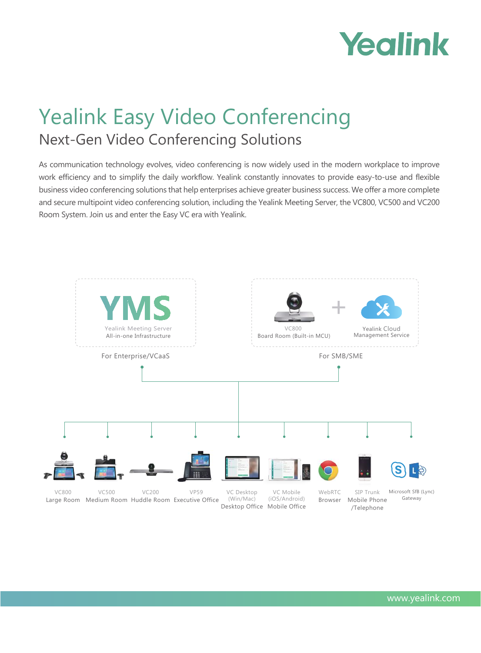# Yealink

## Yealink Easy Video Conferencing Next-Gen Video Conferencing Solutions

As communication technology evolves, video conferencing is now widely used in the modern workplace to improve work efficiency and to simplify the daily workflow. Yealink constantly innovates to provide easy-to-use and flexible business video conferencing solutions that help enterprises achieve greater business success. We offer a more complete and secure multipoint video conferencing solution, including the Yealink Meeting Server, the VC800, VC500 and VC200 Room System. Join us and enter the Easy VC era with Yealink.

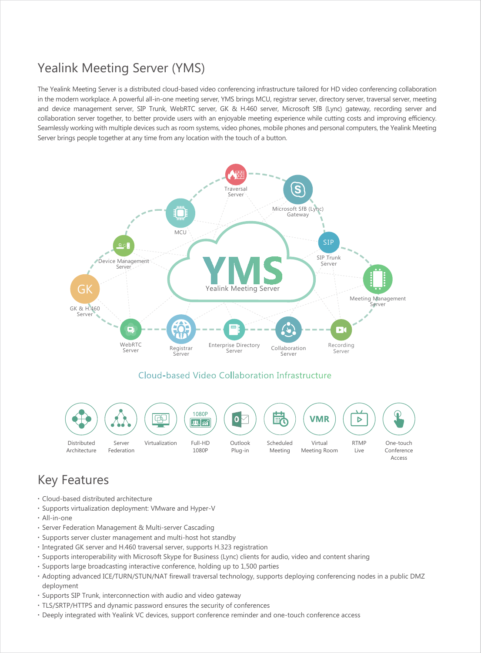#### Yealink Meeting Server (YMS)

The Yealink Meeting Server is a distributed cloud-based video conferencing infrastructure tailored for HD video conferencing collaboration in the modern workplace. A powerful all-in-one meeting server, YMS brings MCU, registrar server, directory server, traversal server, meeting and device management server, SIP Trunk, WebRTC server, GK & H.460 server, Microsoft SfB (Lync) gateway, recording server and collaboration server together, to better provide users with an enjoyable meeting experience while cutting costs and improving efficiency. Seamlessly working with multiple devices such as room systems, video phones, mobile phones and personal computers, the Yealink Meeting Server brings people together at any time from any location with the touch of a button.



- Cloud-based distributed architecture
- Supports virtualization deployment: VMware and Hyper-V
- All-in-one
- Server Federation Management & Multi-server Cascading
- Supports server cluster management and multi-host hot standby
- Integrated GK server and H.460 traversal server, supports H.323 registration
- Supports interoperability with Microsoft Skype for Business (Lync) clients for audio, video and content sharing
- Supports large broadcasting interactive conference, holding up to 1,500 parties
- Adopting advanced ICE/TURN/STUN/NAT firewall traversal technology, supports deploying conferencing nodes in a public DMZ • deployment
- Supports SIP Trunk, interconnection with audio and video gateway
- TLS/SRTP/HTTPS and dynamic password ensures the security of conferences
- Deeply integrated with Yealink VC devices, support conference reminder and one-touch conference access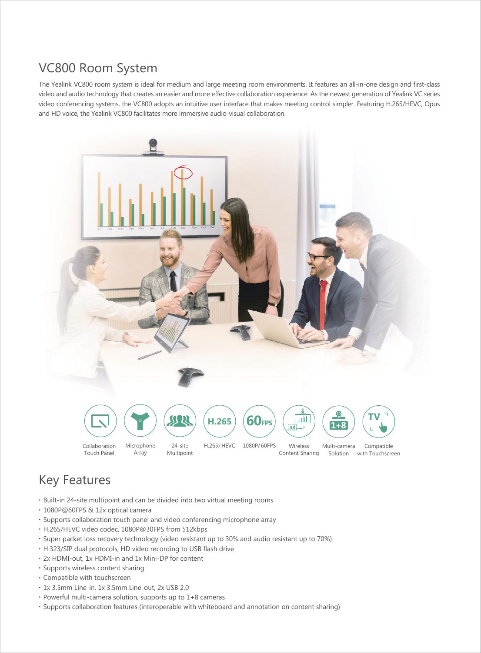#### VC800 Room System

The Yealink VC800 room system is ideal for medium and large meeting room environments. It features an all-in-one design and first-class video and audio technology that creates an easier and more effective collaboration experience. As the newest generation of Yealink VC series video conferencing systems, the VC800 adopts an intuitive user interface that makes meeting control simpler. Featuring H.265/HEVC, Opus and HD voice, the Yealink VC800 facilitates more immersive audio-visual collaboration.



- Built-in 24-site multipoint and can be divided into two virtual meeting rooms
- 1080P@60FPS & 12x optical camera
- Supports collaboration touch panel and video conferencing microphone array
- H.265/HEVC video codec, 1080P@30FPS from 512kbps
- Super packet loss recovery technology (video resistant up to 30% and audio resistant up to 70%)
- H.323/SIP dual protocols, HD video recording to USB flash drive
- 2x HDMI-out, 1x HDMI-in and 1x Mini-DP for content
- Supports wireless content sharing
- Compatible with touchscreen
- 1x 3.5mm Line-in, 1x 3.5mm Line-out, 2x USB 2.0
- Powerful multi-camera solution, supports up to 1+8 cameras
- Supports collaboration features (interoperable with whiteboard and annotation on content sharing)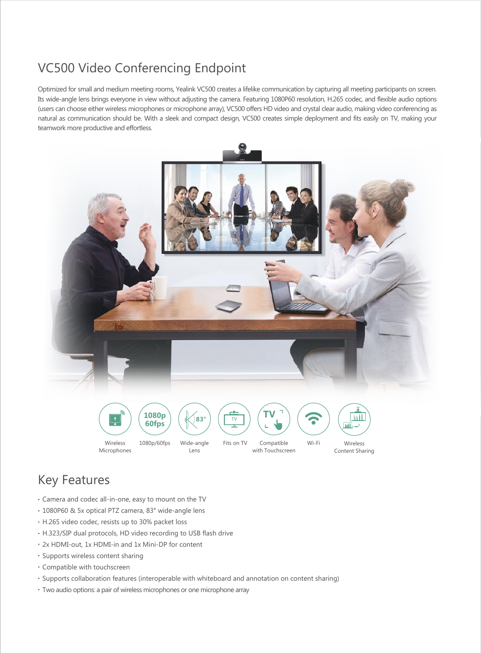### VC500 Video Conferencing Endpoint

Optimized for small and medium meeting rooms, Yealink VC500 creates a lifelike communication by capturing all meeting participants on screen. Its wide-angle lens brings everyone in view without adjusting the camera. Featuring 1080P60 resolution, H.265 codec, and flexible audio options (users can choose either wireless microphones or microphone array), VC500 offers HD video and crystal clear audio, making video conferencing as natural as communication should be. With a sleek and compact design, VC500 creates simple deployment and fits easily on TV, making your teamwork more productive and effortless.



- Camera and codec all-in-one, easy to mount on the TV
- 1080P60 & 5x optical PTZ camera, 83° wide-angle lens
- H.265 video codec, resists up to 30% packet loss
- H.323/SIP dual protocols, HD video recording to USB flash drive
- 2x HDMI-out, 1x HDMI-in and 1x Mini-DP for content
- Supports wireless content sharing
- Compatible with touchscreen
- Supports collaboration features (interoperable with whiteboard and annotation on content sharing)
- Two audio options: a pair of wireless microphones or one microphone array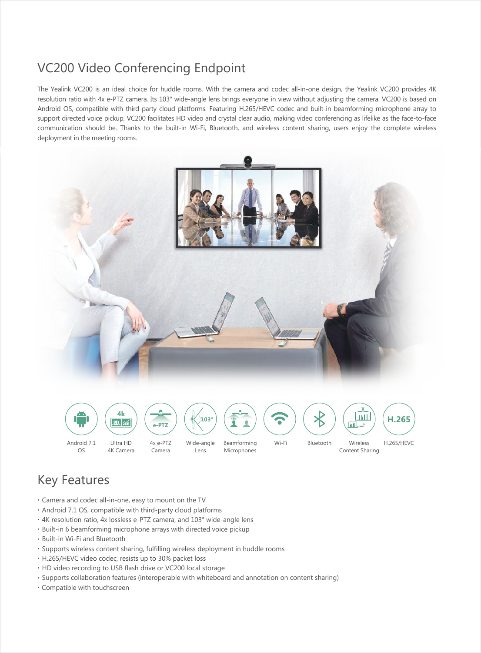#### VC200 Video Conferencing Endpoint

The Yealink VC200 is an ideal choice for huddle rooms. With the camera and codec all-in-one design, the Yealink VC200 provides 4K resolution ratio with 4x e-PTZ camera. Its 103° wide-angle lens brings everyone in view without adjusting the camera. VC200 is based on Android OS, compatible with third-party cloud platforms. Featuring H.265/HEVC codec and built-in beamforming microphone array to support directed voice pickup, VC200 facilitates HD video and crystal clear audio, making video conferencing as lifelike as the face-to-face communication should be. Thanks to the built-in Wi-Fi, Bluetooth, and wireless content sharing, users enjoy the complete wireless deployment in the meeting rooms.



- Camera and codec all-in-one, easy to mount on the TV
- Android 7.1 OS, compatible with third-party cloud platforms
- 4K resolution ratio, 4x lossless e-PTZ camera, and 103° wide-angle lens
- Built-in 6 beamforming microphone arrays with directed voice pickup
- Built-in Wi-Fi and Bluetooth
- Supports wireless content sharing, fulfilling wireless deployment in huddle rooms
- H.265/HEVC video codec, resists up to 30% packet loss
- HD video recording to USB flash drive or VC200 local storage
- Supports collaboration features (interoperable with whiteboard and annotation on content sharing)
- Compatible with touchscreen